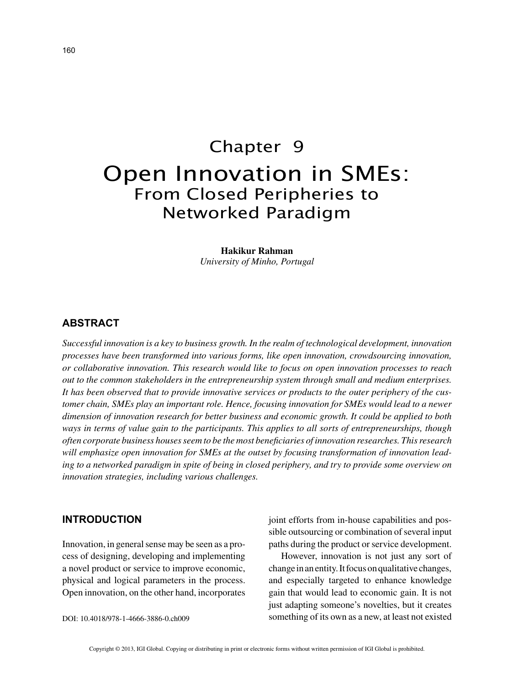# Chapter 9 Open Innovation in SMEs: From Closed Peripheries to Networked Paradigm

#### **Hakikur Rahman** *University of Minho, Portugal*

## **ABSTRACT**

*Successful innovation is a key to business growth. In the realm of technological development, innovation processes have been transformed into various forms, like open innovation, crowdsourcing innovation, or collaborative innovation. This research would like to focus on open innovation processes to reach out to the common stakeholders in the entrepreneurship system through small and medium enterprises. It has been observed that to provide innovative services or products to the outer periphery of the customer chain, SMEs play an important role. Hence, focusing innovation for SMEs would lead to a newer dimension of innovation research for better business and economic growth. It could be applied to both ways in terms of value gain to the participants. This applies to all sorts of entrepreneurships, though often corporate business houses seem to be the most beneficiaries of innovation researches. This research will emphasize open innovation for SMEs at the outset by focusing transformation of innovation leading to a networked paradigm in spite of being in closed periphery, and try to provide some overview on innovation strategies, including various challenges.*

#### **INTRODUCTION**

Innovation, in general sense may be seen as a process of designing, developing and implementing a novel product or service to improve economic, physical and logical parameters in the process. Open innovation, on the other hand, incorporates joint efforts from in-house capabilities and possible outsourcing or combination of several input paths during the product or service development.

However, innovation is not just any sort of change in an entity. It focus on qualitative changes, and especially targeted to enhance knowledge gain that would lead to economic gain. It is not just adapting someone's novelties, but it creates something of its own as a new, at least not existed

DOI: 10.4018/978-1-4666-3886-0.ch009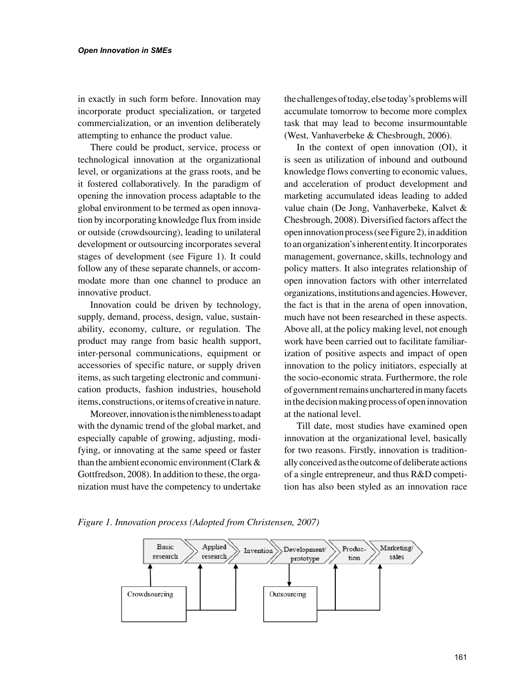in exactly in such form before. Innovation may incorporate product specialization, or targeted commercialization, or an invention deliberately attempting to enhance the product value.

There could be product, service, process or technological innovation at the organizational level, or organizations at the grass roots, and be it fostered collaboratively. In the paradigm of opening the innovation process adaptable to the global environment to be termed as open innovation by incorporating knowledge flux from inside or outside (crowdsourcing), leading to unilateral development or outsourcing incorporates several stages of development (see Figure 1). It could follow any of these separate channels, or accommodate more than one channel to produce an innovative product.

Innovation could be driven by technology, supply, demand, process, design, value, sustainability, economy, culture, or regulation. The product may range from basic health support, inter-personal communications, equipment or accessories of specific nature, or supply driven items, as such targeting electronic and communication products, fashion industries, household items, constructions, or items of creative in nature.

Moreover, innovation is the nimbleness to adapt with the dynamic trend of the global market, and especially capable of growing, adjusting, modifying, or innovating at the same speed or faster than the ambient economic environment (Clark & Gottfredson, 2008). In addition to these, the organization must have the competency to undertake the challenges of today, else today's problems will accumulate tomorrow to become more complex task that may lead to become insurmountable (West, Vanhaverbeke & Chesbrough, 2006).

In the context of open innovation (OI), it is seen as utilization of inbound and outbound knowledge flows converting to economic values, and acceleration of product development and marketing accumulated ideas leading to added value chain (De Jong, Vanhaverbeke, Kalvet & Chesbrough, 2008). Diversified factors affect the open innovation process (see Figure 2), in addition to an organization's inherent entity. It incorporates management, governance, skills, technology and policy matters. It also integrates relationship of open innovation factors with other interrelated organizations, institutions and agencies. However, the fact is that in the arena of open innovation, much have not been researched in these aspects. Above all, at the policy making level, not enough work have been carried out to facilitate familiarization of positive aspects and impact of open innovation to the policy initiators, especially at the socio-economic strata. Furthermore, the role of government remains unchartered in many facets in the decision making process of open innovation at the national level.

Till date, most studies have examined open innovation at the organizational level, basically for two reasons. Firstly, innovation is traditionally conceived as the outcome of deliberate actions of a single entrepreneur, and thus R&D competition has also been styled as an innovation race

*Figure 1. Innovation process (Adopted from Christensen, 2007)*